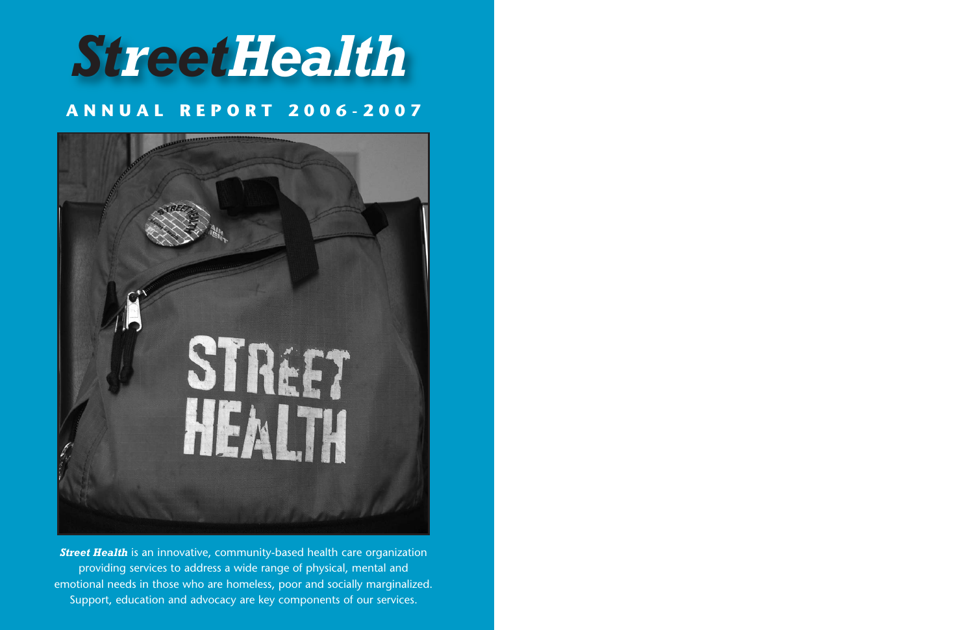# *StreetHealth*

# **ANNUAL REPORT 2006-2007**



**Street Health** is an innovative, community-based health care organization providing services to address a wide range of physical, mental and emotional needs in those who are homeless, poor and socially marginalized. Support, education and advocacy are key components of our services.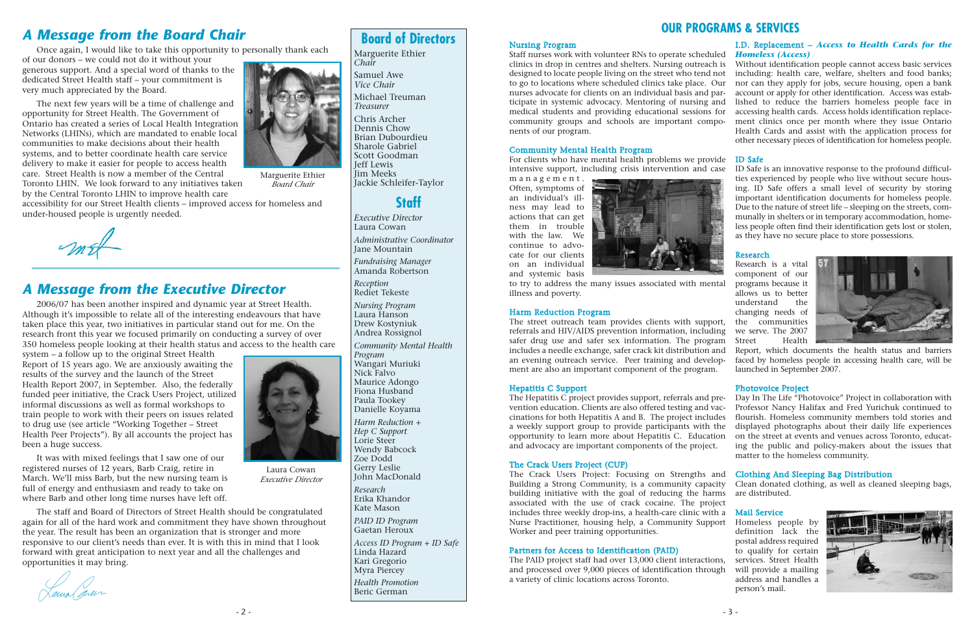### *A Message from the Board Chair*

Once again, I would like to take this opportunity to personally thank each

of our donors – we could not do it without your generous support. And a special word of thanks to the dedicated Street Health staff – your commitment is very much appreciated by the Board.

The next few years will be a time of challenge and opportunity for Street Health. The Government of Ontario has created a series of Local Health Integration Networks (LHINs), which are mandated to enable local communities to make decisions about their health systems, and to better coordinate health care service delivery to make it easier for people to access health care. Street Health is now a member of the Central Toronto LHIN. We look forward to any initiatives taken by the Central Toronto LHIN to improve health care

accessibility for our Street Health clients – improved access for homeless and under-housed people is urgently needed.

### *A Message from the Executive Director*

2006/07 has been another inspired and dynamic year at Street Health. Although it's impossible to relate all of the interesting endeavours that have taken place this year, two initiatives in particular stand out for me. On the research front this year we focused primarily on conducting a survey of over 350 homeless people looking at their health status and access to the health care

system – a follow up to the original Street Health Report of 15 years ago. We are anxiously awaiting the results of the survey and the launch of the Street Health Report 2007, in September. Also, the federally funded peer initiative, the Crack Users Project, utilized informal discussions as well as formal workshops to train people to work with their peers on issues related to drug use (see article "Working Together – Street Health Peer Projects"). By all accounts the project has been a huge success.

It was with mixed feelings that I saw one of our registered nurses of 12 years, Barb Craig, retire in March. We'll miss Barb, but the new nursing team is full of energy and enthusiasm and ready to take on where Barb and other long time nurses have left off.

The staff and Board of Directors of Street Health should be congratulated again for all of the hard work and commitment they have shown throughout the year. The result has been an organization that is stronger and more responsive to our client's needs than ever. It is with this in mind that I look forward with great anticipation to next year and all the challenges and opportunities it may bring.

Laux Caran

Marguerite Ethier *Board Chair*



Laura Cowan *Executive Director*

# **Board of Directors**

Marguerite Ethier *Chair*

Samuel Awe *Vice Chair* Michael Treuman *Treasurer*

Chris Archer Dennis Chow Brian Dubourdieu Sharole Gabriel Scott Goodman Jeff Lewis Jim Meeks Jackie Schleifer-Taylor

### **Staff**

*Executive Director* Laura Cowan *Administrative Coordinator*

Jane Mountain

*Fundraising Manager* Amanda Robertson

*Reception* Rediet Tekeste

*Nursing Program* Laura Hanson Drew Kostyniuk Andrea Rossignol

*Community Mental Health Program* Wangari Muriuki Nick Falvo Maurice Adongo Fiona Husband Paula Tookey Danielle Koyama *Harm Reduction + Hep C Support* Lorie Steer Wendy Babcock Zoe Dodd Gerry Leslie John MacDonald *Research* Erika Khandor Kate Mason *PAID ID Program* Gaetan Heroux *Access ID Program + ID Safe* Linda Hazard Kari Gregorio

Research is a vital component of our programs because it allows us to better understand the changing needs of the communities we serve. The 2007 Street Health

Myra Piercey *Health Promotion* Beric German

### **OUR PROGRAMS & SERVICES**

N ursin g Pro gram

### C o m m u nity Mental Health Pro gram

For clients who have mental health problems we provide intensive support, including crisis intervention and case

management. Often, symptoms of an individual's illness may lead to actions that can get them in trouble with the law. We continue to advocate for our clients on an individual and systemic basis



to try to address the many issues associated with mental illness and poverty.

#### Harm Red uctio n Pro gram

The street outreach team provides clients with support, referrals and HIV/AIDS prevention information, including safer drug use and safer sex information. The program includes a needle exchange, safer crack kit distribution and an evening outreach service. Peer training and development are also an important component of the program.

### Hepatitis C Su p p ort

Staff nurses work with volunteer RNs to operate scheduled *Homeless (Access)* clinics in drop in centres and shelters. Nursing outreach is designed to locate people living on the street who tend not to go to locations where scheduled clinics take place. Our nurses advocate for clients on an individual basis and participate in systemic advocacy. Mentoring of nursing and medical students and providing educational sessions for community groups and schools are important components of our program. Without identification people cannot access basic services including: health care, welfare, shelters and food banks; nor can they apply for jobs, secure housing, open a bank account or apply for other identification. Access was established to reduce the barriers homeless people face in accessing health cards. Access holds identification replacement clinics once per month where they issue Ontario Health Cards and assist with the application process for other necessary pieces of identification for homeless people.

### T he Crack Users Project (C U P)

#### Partners for Access to Identificatio n (PAID)

The PAID project staff had over 13,000 client interactions, and processed over 9,000 pieces of identification through a variety of clinic locations across Toronto.

# I.D. Replacement – *Access to Health Cards for the*

The Hepatitis C project provides support, referrals and prevention education. Clients are also offered testing and vaccinations for both Hepatitis A and B. The project includes a weekly support group to provide participants with the opportunity to learn more about Hepatitis C. Education and advocacy are important components of the project. Day In The Life "Photovoice" Project in collaboration with Professor Nancy Halifax and Fred Yurichuk continued to flourish. Homeless community members told stories and displayed photographs about their daily life experiences on the street at events and venues across Toronto, educating the public and policy-makers about the issues that matter to the homeless community.

#### ID Safe

The Crack Users Project: Focusing on Strengths and Building a Strong Community, is a community capacity building initiative with the goal of reducing the harms associated with the use of crack cocaine. The project includes three weekly drop-ins, a health-care clinic with a Nurse Practitioner, housing help, a Community Support Worker and peer training opportunities. Clothin g A n d Sleepin g Bag Distrib utio n Clean donated clothing, as well as cleaned sleeping bags, are distributed. Mail Service Homeless people by definition lack the

ID Safe is an innovative response to the profound difficulties experienced by people who live without secure housing. ID Safe offers a small level of security by storing important identification documents for homeless people. Due to the nature of street life – sleeping on the streets, communally in shelters or in temporary accommodation, homeless people often find their identification gets lost or stolen,

as they have no secure place to store possessions.

### Research

Report, which documents the health status and barriers faced by homeless people in accessing health care, will be launched in September 2007.

### P h oto v oice Project

postal address required to qualify for certain services. Street Health will provide a mailing address and handles a person's mail.

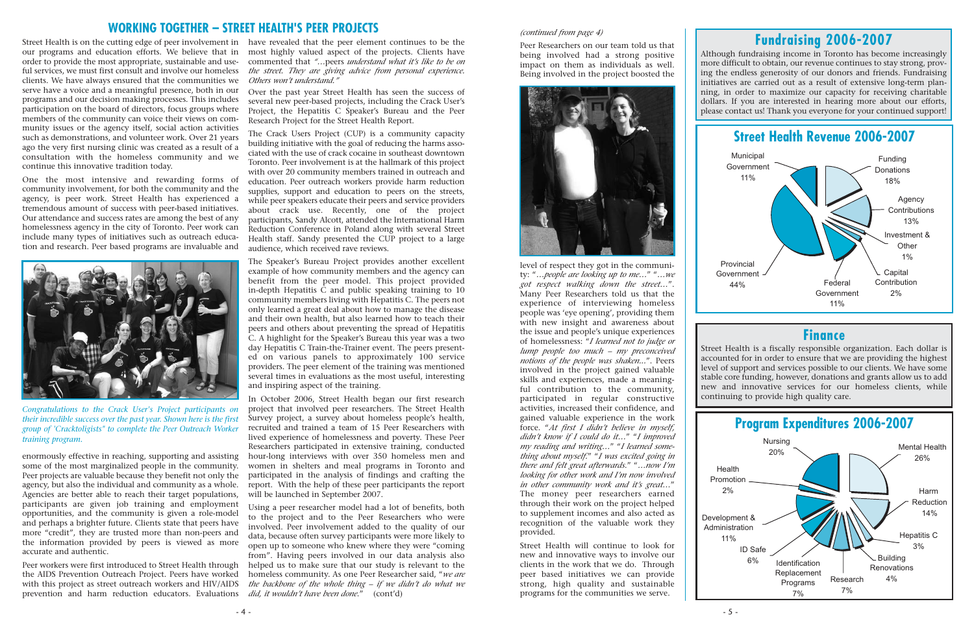### **Finance**

Street Health is a fiscally responsible organization. Each dollar is accounted for in order to ensure that we are providing the highest level of support and services possible to our clients. We have some stable core funding, however, donations and grants allow us to add new and innovative services for our homeless clients, while continuing to provide high quality care.





## **Fundraising 2006-2007**

Although fundraising income in Toronto has become increasingly more difficult to obtain, our revenue continues to stay strong, proving the endless generosity of our donors and friends. Fundraising initiatives are carried out as a result of extensive long-term planning, in order to maximize our capacity for receiving charitable dollars. If you are interested in hearing more about our efforts, please contact us! Thank you everyone for your continued support!

- 4 -

our programs and education efforts. We believe that in order to provide the most appropriate, sustainable and useful services, we must first consult and involve our homeless clients. We have always ensured that the communities we *Others won't understand."* serve have a voice and a meaningful presence, both in our programs and our decision making processes. This includes participation on the board of directors, focus groups where members of the community can voice their views on community issues or the agency itself, social action activities such as demonstrations, and volunteer work. Over 21 years ago the very first nursing clinic was created as a result of a consultation with the homeless community and we continue this innovative tradition today.

One the most intensive and rewarding forms of community involvement, for both the community and the agency, is peer work. Street Health has experienced a tremendous amount of success with peer-based initiatives. Our attendance and success rates are among the best of any homelessness agency in the city of Toronto. Peer work can include many types of initiatives such as outreach education and research. Peer based programs are invaluable and

Street Health is on the cutting edge of peer involvement in have revealed that the peer element continues to be the most highly valued aspect of the projects. Clients have commented that *"…*peers *understand what it's like to be on the street. They are giving advice from personal experience.*

enormously effective in reaching, supporting and assisting some of the most marginalized people in the community. Peer projects are valuable because they benefit not only the agency, but also the individual and community as a whole. Agencies are better able to reach their target populations, participants are given job training and employment opportunities, and the community is given a role-model and perhaps a brighter future. Clients state that peers have more "credit", they are trusted more than non-peers and the information provided by peers is viewed as more accurate and authentic.

Peer workers were first introduced to Street Health through the AIDS Prevention Outreach Project. Peers have worked with this project as street outreach workers and HIV/AIDS prevention and harm reduction educators. Evaluations

Over the past year Street Health has seen the success of several new peer-based projects, including the Crack User's Project, the Hepatitis C Speaker's Bureau and the Peer Research Project for the Street Health Report.

The Crack Users Project (CUP) is a community capacity building initiative with the goal of reducing the harms associated with the use of crack cocaine in southeast downtown Toronto. Peer involvement is at the hallmark of this project with over 20 community members trained in outreach and education. Peer outreach workers provide harm reduction supplies, support and education to peers on the streets, while peer speakers educate their peers and service providers about crack use. Recently, one of the project participants, Sandy Alcott, attended the International Harm Reduction Conference in Poland along with several Street Health staff. Sandy presented the CUP project to a large audience, which received rave reviews.

The Speaker's Bureau Project provides another excellent example of how community members and the agency can benefit from the peer model. This project provided in-depth Hepatitis C and public speaking training to 10 community members living with Hepatitis C. The peers not only learned a great deal about how to manage the disease and their own health, but also learned how to teach their peers and others about preventing the spread of Hepatitis C. A highlight for the Speaker's Bureau this year was a two day Hepatitis C Train-the-Trainer event. The peers presented on various panels to approximately 100 service providers. The peer element of the training was mentioned several times in evaluations as the most useful, interesting and inspiring aspect of the training.

In October 2006, Street Health began our first research project that involved peer researchers. The Street Health Survey project, a survey about homeless people's health, recruited and trained a team of 15 Peer Researchers with lived experience of homelessness and poverty. These Peer Researchers participated in extensive training, conducted hour-long interviews with over 350 homeless men and women in shelters and meal programs in Toronto and participated in the analysis of findings and crafting the report. With the help of these peer participants the report will be launched in September 2007.

Using a peer researcher model had a lot of benefits, both to the project and to the Peer Researchers who were involved. Peer involvement added to the quality of our data, because often survey participants were more likely to open up to someone who knew where they were "coming from". Having peers involved in our data analysis also helped us to make sure that our study is relevant to the homeless community. As one Peer Researcher said, "*we are the backbone of the whole thing – if we didn't do what we did, it wouldn't have been done*." (cont'd)

### **WORKING TOGETHER – STREET HEALTH'S PEER PROJECTS** *(continued from page 4)*

Peer Researchers on our team told us that being involved had a strong positive impact on them as individuals as well. Being involved in the project boosted the



level of respect they got in the community: "*…people are looking up to me…*" "*…we got respect walking down the street…*". Many Peer Researchers told us that the experience of interviewing homeless people was 'eye opening', providing them with new insight and awareness about the issue and people's unique experiences of homelessness: "*I learned not to judge or lump people too much – my preconceived notions of the people was shaken...*". Peers involved in the project gained valuable skills and experiences, made a meaningful contribution to the community, participated in regular constructive activities, increased their confidence, and gained valuable experience in the work force. "*At first I didn't believe in myself, didn't know if I could do it…*" "*I improved my reading and writing…*" "*I learned something about myself.*" "*I was excited going in there and felt great afterwards*." "*…now I'm looking for other work and I'm now involved in other community work and it's great…*" The money peer researchers earned through their work on the project helped to supplement incomes and also acted as recognition of the valuable work they provided.

Street Health will continue to look for new and innovative ways to involve our clients in the work that we do. Through peer based initiatives we can provide strong, high quality and sustainable programs for the communities we serve.



*Congratulations to the Crack User's Project participants on their incredible success over the past year. Shown here is the first group of 'Cracktoligists" to complete the Peer Outreach Worker training program.*